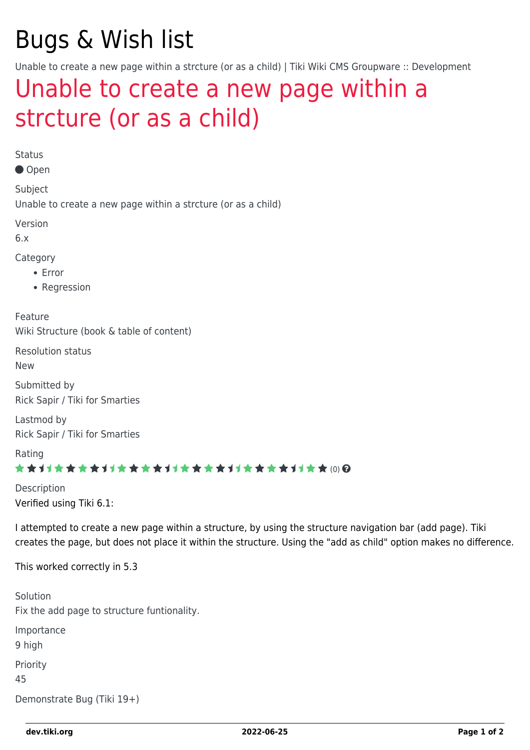# Bugs & Wish list

Unable to create a new page within a strcture (or as a child) | Tiki Wiki CMS Groupware :: Development

## [Unable to create a new page within a](https://dev.tiki.org/item3778-Unable-to-create-a-new-page-within-a-strcture-or-as-a-child) [strcture \(or as a child\)](https://dev.tiki.org/item3778-Unable-to-create-a-new-page-within-a-strcture-or-as-a-child)

Status

Open

Subject Unable to create a new page within a strcture (or as a child)

Version

6.x

Category

- Error
- Regression

Feature Wiki Structure (book & table of content)

Resolution status

New

Submitted by Rick Sapir / Tiki for Smarties

Lastmod by Rick Sapir / Tiki for Smarties

Rating

#### ★★11★★★★11★★★★11★★★★11★★★★+11★★ (0) @

Description Verified using Tiki 6.1:

I attempted to create a new page within a structure, by using the structure navigation bar (add page). Tiki creates the page, but does not place it within the structure. Using the "add as child" option makes no difference.

This worked correctly in 5.3

```
Solution
Fix the add page to structure funtionality.
Importance
9 high
Priority
45
Demonstrate Bug (Tiki 19+)
```